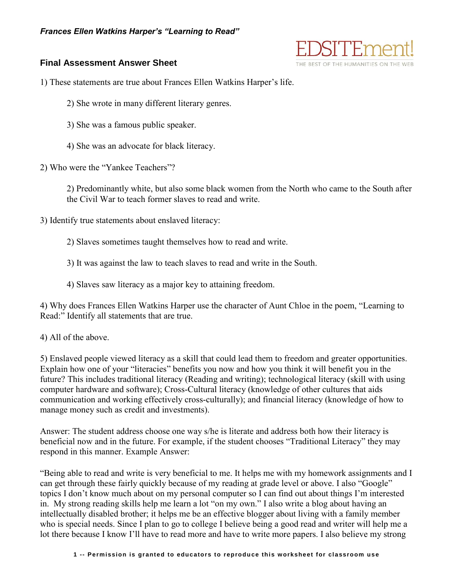

## **Final Assessment Answer Sheet**

1) These statements are true about Frances Ellen Watkins Harper's life.

2) She wrote in many different literary genres.

3) She was a famous public speaker.

4) She was an advocate for black literacy.

2) Who were the "Yankee Teachers"?

2) Predominantly white, but also some black women from the North who came to the South after the Civil War to teach former slaves to read and write.

3) Identify true statements about enslaved literacy:

2) Slaves sometimes taught themselves how to read and write.

3) It was against the law to teach slaves to read and write in the South.

4) Slaves saw literacy as a major key to attaining freedom.

4) Why does Frances Ellen Watkins Harper use the character of Aunt Chloe in the poem, "Learning to Read:" Identify all statements that are true.

4) All of the above.

5) Enslaved people viewed literacy as a skill that could lead them to freedom and greater opportunities. Explain how one of your "literacies" benefits you now and how you think it will benefit you in the future? This includes traditional literacy (Reading and writing); technological literacy (skill with using computer hardware and software); Cross-Cultural literacy (knowledge of other cultures that aids communication and working effectively cross-culturally); and financial literacy (knowledge of how to manage money such as credit and investments).

Answer: The student address choose one way s/he is literate and address both how their literacy is beneficial now and in the future. For example, if the student chooses "Traditional Literacy" they may respond in this manner. Example Answer:

"Being able to read and write is very beneficial to me. It helps me with my homework assignments and I can get through these fairly quickly because of my reading at grade level or above. I also "Google" topics I don't know much about on my personal computer so I can find out about things I'm interested in. My strong reading skills help me learn a lot "on my own." I also write a blog about having an intellectually disabled brother; it helps me be an effective blogger about living with a family member who is special needs. Since I plan to go to college I believe being a good read and writer will help me a lot there because I know I'll have to read more and have to write more papers. I also believe my strong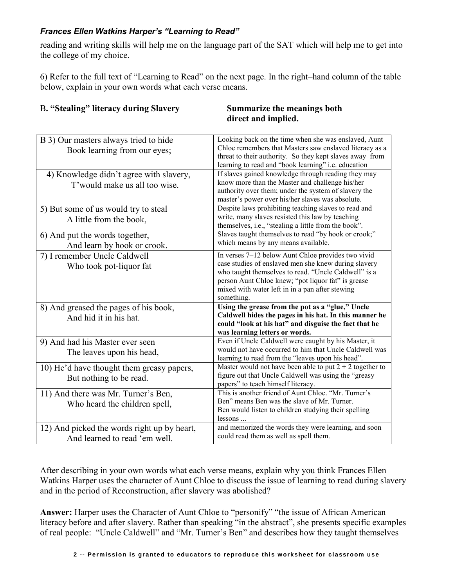## *Frances Ellen Watkins Harper's "Learning to Read"*

reading and writing skills will help me on the language part of the SAT which will help me to get into the college of my choice.

6) Refer to the full text of "Learning to Read" on the next page. In the right–hand column of the table below, explain in your own words what each verse means.

| <b>B. "Stealing" literacy during Slavery</b> |  |
|----------------------------------------------|--|
|----------------------------------------------|--|

## $Summarize the meanings both$  **direct and implied.**

| B 3) Our masters always tried to hide       | Looking back on the time when she was enslaved, Aunt                                                            |
|---------------------------------------------|-----------------------------------------------------------------------------------------------------------------|
| Book learning from our eyes;                | Chloe remembers that Masters saw enslaved literacy as a                                                         |
|                                             | threat to their authority. So they kept slaves away from<br>learning to read and "book learning" i.e. education |
|                                             | If slaves gained knowledge through reading they may                                                             |
| 4) Knowledge didn't agree with slavery,     | know more than the Master and challenge his/her                                                                 |
| T'would make us all too wise.               | authority over them; under the system of slavery the                                                            |
|                                             | master's power over his/her slaves was absolute.                                                                |
| 5) But some of us would try to steal        | Despite laws prohibiting teaching slaves to read and                                                            |
| A little from the book,                     | write, many slaves resisted this law by teaching                                                                |
|                                             | themselves, i.e., "stealing a little from the book".                                                            |
| 6) And put the words together,              | Slaves taught themselves to read "by hook or crook;"                                                            |
| And learn by hook or crook.                 | which means by any means available.                                                                             |
| 7) I remember Uncle Caldwell                | In verses 7–12 below Aunt Chloe provides two vivid                                                              |
| Who took pot-liquor fat                     | case studies of enslaved men she knew during slavery                                                            |
|                                             | who taught themselves to read. "Uncle Caldwell" is a                                                            |
|                                             | person Aunt Chloe knew; "pot liquor fat" is grease                                                              |
|                                             | mixed with water left in in a pan after stewing                                                                 |
|                                             | something.                                                                                                      |
| 8) And greased the pages of his book,       | Using the grease from the pot as a "glue," Uncle                                                                |
| And hid it in his hat.                      | Caldwell hides the pages in his hat. In this manner he                                                          |
|                                             | could "look at his hat" and disguise the fact that he                                                           |
|                                             | was learning letters or words.<br>Even if Uncle Caldwell were caught by his Master, it                          |
| 9) And had his Master ever seen             | would not have occurred to him that Uncle Caldwell was                                                          |
| The leaves upon his head,                   | learning to read from the "leaves upon his head".                                                               |
|                                             | Master would not have been able to put $2 + 2$ together to                                                      |
| 10) He'd have thought them greasy papers,   | figure out that Uncle Caldwell was using the "greasy                                                            |
| But nothing to be read.                     | papers" to teach himself literacy.                                                                              |
| 11) And there was Mr. Turner's Ben,         | This is another friend of Aunt Chloe. "Mr. Turner's                                                             |
| Who heard the children spell,               | Ben" means Ben was the slave of Mr. Turner.                                                                     |
|                                             | Ben would listen to children studying their spelling                                                            |
|                                             |                                                                                                                 |
|                                             | lessons                                                                                                         |
| 12) And picked the words right up by heart, | and memorized the words they were learning, and soon<br>could read them as well as spell them.                  |

After describing in your own words what each verse means, explain why you think Frances Ellen Watkins Harper uses the character of Aunt Chloe to discuss the issue of learning to read during slavery and in the period of Reconstruction, after slavery was abolished?

**Answer:** Harper uses the Character of Aunt Chloe to "personify" "the issue of African American literacy before and after slavery. Rather than speaking "in the abstract", she presents specific examples of real people: "Uncle Caldwell" and "Mr. Turner's Ben" and describes how they taught themselves